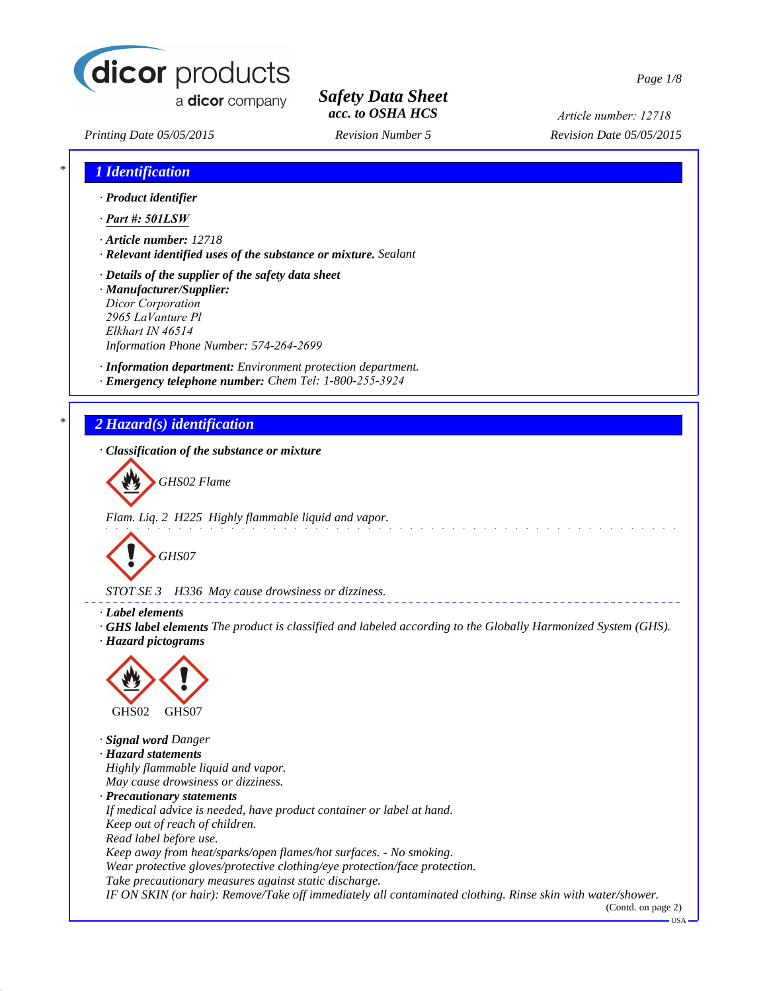

a dicor company

*Safety Data Sheet acc. to OSHA HCS*

*Article number: 12718*

*Printing Date 05/05/2015 Revision Number 5 Revision Date 05/05/2015*

*\* 1 Identification*

| · Product identifier          |                                                                       |
|-------------------------------|-----------------------------------------------------------------------|
| $\cdot$ Part #: 501LSW        |                                                                       |
| $\cdot$ Article number: 12718 |                                                                       |
|                               | $\cdot$ Relevant identified uses of the substance or mixture. Sealant |
|                               | $\cdot$ Details of the supplier of the safety data sheet              |
| · Manufacturer/Supplier:      |                                                                       |
| <b>Dicor Corporation</b>      |                                                                       |
| 2965 LaVanture Pl             |                                                                       |
| Elkhart IN 46514              |                                                                       |
|                               | Information Phone Number: 574-264-2699                                |
|                               | · <b>Information department:</b> Environment protection department.   |
|                               | · Emergency telephone number: Chem Tel: 1-800-255-3924                |
|                               |                                                                       |
| 2 Hazard(s) identification    |                                                                       |
|                               | $\cdot$ Classification of the substance or mixture                    |
|                               |                                                                       |
| GHS02 Flame                   |                                                                       |
|                               |                                                                       |
|                               |                                                                       |

*Flam. Liq. 2 H225 Highly flammable liquid and vapor.*



*STOT SE 3 H336 May cause drowsiness or dizziness.*

*· Label elements*

*· GHS label elements The product is classified and labeled according to the Globally Harmonized System (GHS). · Hazard pictograms*



*· Signal word Danger · Hazard statements Highly flammable liquid and vapor. May cause drowsiness or dizziness. · Precautionary statements If medical advice is needed, have product container or label at hand. Keep out of reach of children. Read label before use. Keep away from heat/sparks/open flames/hot surfaces. - No smoking. Wear protective gloves/protective clothing/eye protection/face protection. Take precautionary measures against static discharge. IF ON SKIN (or hair): Remove/Take off immediately all contaminated clothing. Rinse skin with water/shower.* (Contd. on page 2)

 $-<sub>USA</sub>$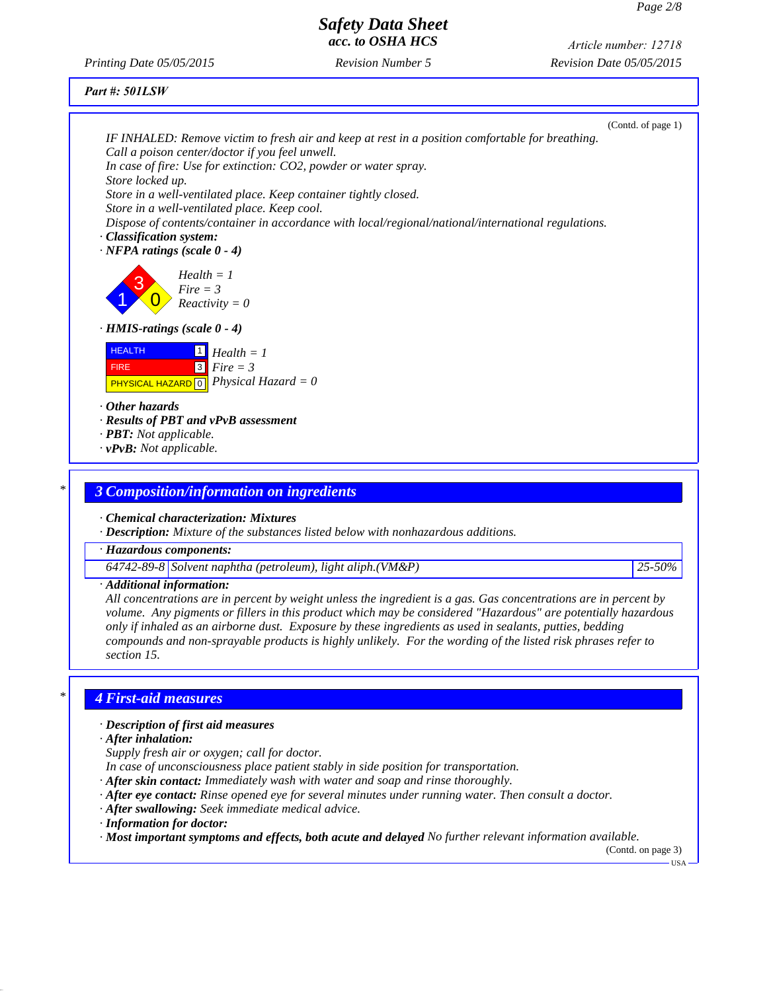*Printing Date 05/05/2015 Revision Number 5 Revision Date 05/05/2015 Article number: 12718*

*Part #: 501LSW*

| IF INHALED: Remove victim to fresh air and keep at rest in a position comfortable for breathing.<br>Call a poison center/doctor if you feel unwell.<br>In case of fire: Use for extinction: CO2, powder or water spray.                                                                                                                                                                                                                                                                                   |                    |
|-----------------------------------------------------------------------------------------------------------------------------------------------------------------------------------------------------------------------------------------------------------------------------------------------------------------------------------------------------------------------------------------------------------------------------------------------------------------------------------------------------------|--------------------|
| Store locked up.<br>Store in a well-ventilated place. Keep container tightly closed.                                                                                                                                                                                                                                                                                                                                                                                                                      |                    |
| Store in a well-ventilated place. Keep cool.                                                                                                                                                                                                                                                                                                                                                                                                                                                              |                    |
| Dispose of contents/container in accordance with local/regional/national/international regulations.<br>· Classification system:<br>$\cdot$ NFPA ratings (scale 0 - 4)                                                                                                                                                                                                                                                                                                                                     |                    |
| $Health = 1$<br>$Fire = 3$<br>$Reactivity = 0$                                                                                                                                                                                                                                                                                                                                                                                                                                                            |                    |
| $\cdot$ HMIS-ratings (scale 0 - 4)                                                                                                                                                                                                                                                                                                                                                                                                                                                                        |                    |
| <b>HEALTH</b><br>$\boxed{1}$ Health = 1<br>$3$ Fire = 3<br><b>FIRE</b><br><b>PHYSICAL HAZARD</b> $\boxed{0}$ <i>Physical Hazard</i> = 0                                                                                                                                                                                                                                                                                                                                                                   |                    |
| $\cdot$ Other hazards<br>· Results of PBT and vPvB assessment                                                                                                                                                                                                                                                                                                                                                                                                                                             |                    |
| · <b>PBT</b> : Not applicable.                                                                                                                                                                                                                                                                                                                                                                                                                                                                            |                    |
| $\cdot v$ PvB: Not applicable.                                                                                                                                                                                                                                                                                                                                                                                                                                                                            |                    |
| <b>3 Composition/information on ingredients</b>                                                                                                                                                                                                                                                                                                                                                                                                                                                           |                    |
| · Chemical characterization: Mixtures<br>· Description: Mixture of the substances listed below with nonhazardous additions.                                                                                                                                                                                                                                                                                                                                                                               |                    |
| · Hazardous components:                                                                                                                                                                                                                                                                                                                                                                                                                                                                                   |                    |
| 64742-89-8 Solvent naphtha (petroleum), light aliph. $(VM\&P)$                                                                                                                                                                                                                                                                                                                                                                                                                                            | 25-50%             |
| · Additional information:<br>All concentrations are in percent by weight unless the ingredient is a gas. Gas concentrations are in percent by<br>volume. Any pigments or fillers in this product which may be considered "Hazardous" are potentially hazardous<br>only if inhaled as an airborne dust. Exposure by these ingredients as used in sealants, putties, bedding<br>compounds and non-sprayable products is highly unlikely. For the wording of the listed risk phrases refer to<br>section 15. |                    |
| <b>4 First-aid measures</b>                                                                                                                                                                                                                                                                                                                                                                                                                                                                               |                    |
| · Description of first aid measures<br>$\cdot$ After inhalation:                                                                                                                                                                                                                                                                                                                                                                                                                                          |                    |
| Supply fresh air or oxygen; call for doctor.                                                                                                                                                                                                                                                                                                                                                                                                                                                              |                    |
| In case of unconsciousness place patient stably in side position for transportation.                                                                                                                                                                                                                                                                                                                                                                                                                      |                    |
| · After skin contact: Immediately wash with water and soap and rinse thoroughly.                                                                                                                                                                                                                                                                                                                                                                                                                          |                    |
| $\cdot$ After eye contact: Rinse opened eye for several minutes under running water. Then consult a doctor.                                                                                                                                                                                                                                                                                                                                                                                               |                    |
| · After swallowing: Seek immediate medical advice.                                                                                                                                                                                                                                                                                                                                                                                                                                                        |                    |
| · Information for doctor:<br>$\cdot$ Most important symptoms and effects, both acute and delayed No further relevant information available.                                                                                                                                                                                                                                                                                                                                                               | (Contd. on page 3) |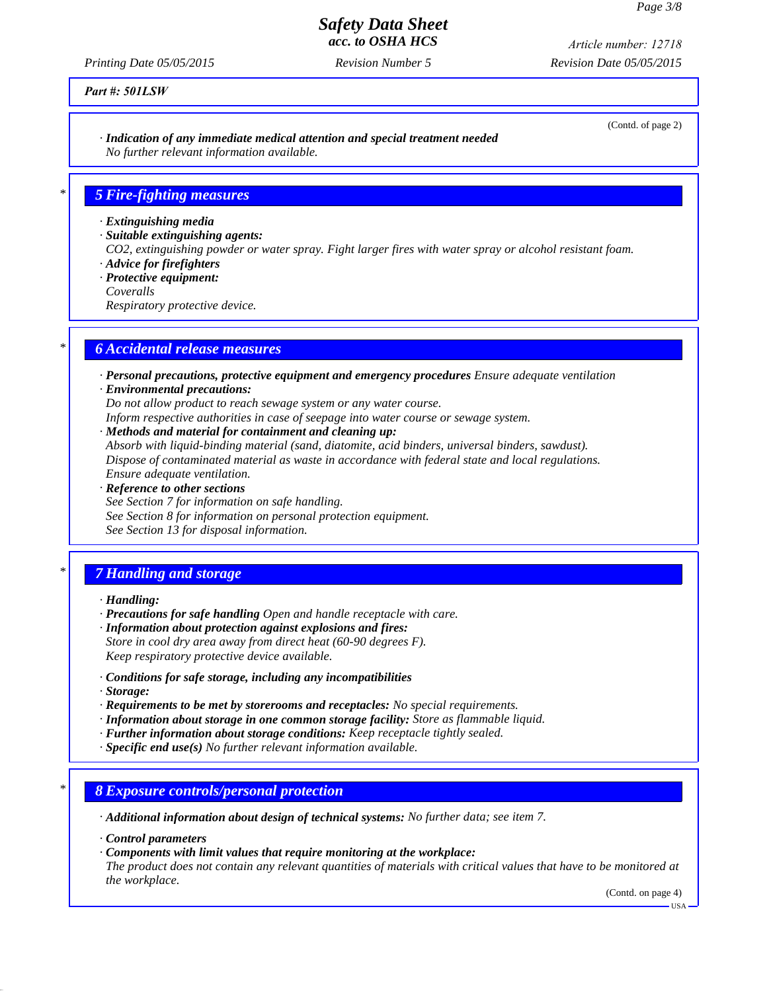*Printing Date 05/05/2015 Revision Number 5 Revision Date 05/05/2015 Article number: 12718*

## *Part #: 501LSW*

*· Indication of any immediate medical attention and special treatment needed No further relevant information available.*

## *\* 5 Fire-fighting measures*

*· Extinguishing media*

*· Suitable extinguishing agents:*

*CO2, extinguishing powder or water spray. Fight larger fires with water spray or alcohol resistant foam. · Advice for firefighters*

*· Protective equipment:*

*Coveralls*

*Respiratory protective device.*

## *\* 6 Accidental release measures*

*· Personal precautions, protective equipment and emergency procedures Ensure adequate ventilation · Environmental precautions:*

*Do not allow product to reach sewage system or any water course.*

*Inform respective authorities in case of seepage into water course or sewage system.*

*· Methods and material for containment and cleaning up:*

*Absorb with liquid-binding material (sand, diatomite, acid binders, universal binders, sawdust). Dispose of contaminated material as waste in accordance with federal state and local regulations. Ensure adequate ventilation.*

*· Reference to other sections See Section 7 for information on safe handling. See Section 8 for information on personal protection equipment. See Section 13 for disposal information.*

# *\* 7 Handling and storage*

*· Handling:*

- *· Precautions for safe handling Open and handle receptacle with care.*
- *· Information about protection against explosions and fires: Store in cool dry area away from direct heat (60-90 degrees F). Keep respiratory protective device available.*
- *· Conditions for safe storage, including any incompatibilities*
- *· Storage:*
- *· Requirements to be met by storerooms and receptacles: No special requirements.*
- *· Information about storage in one common storage facility: Store as flammable liquid.*
- *· Further information about storage conditions: Keep receptacle tightly sealed.*
- *· Specific end use(s) No further relevant information available.*

## *\* 8 Exposure controls/personal protection*

*· Additional information about design of technical systems: No further data; see item 7.*

*· Control parameters*

*· Components with limit values that require monitoring at the workplace:*

*The product does not contain any relevant quantities of materials with critical values that have to be monitored at the workplace.*

(Contd. on page 4)

USA

(Contd. of page 2)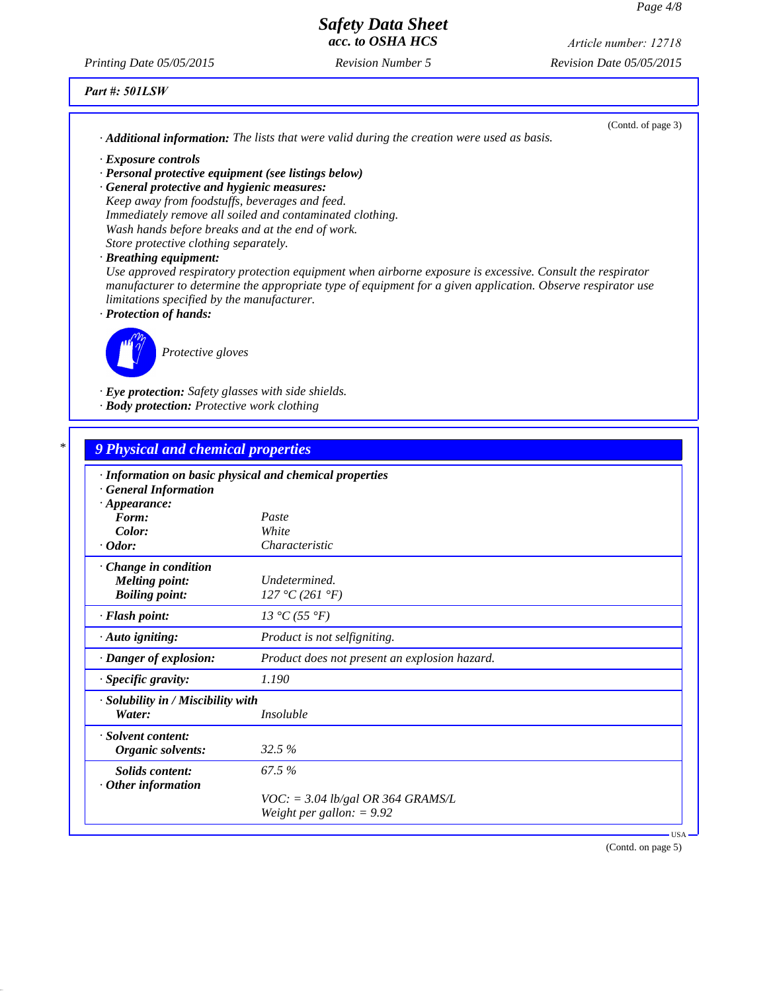*Printing Date 05/05/2015 Revision Number 5 Revision Date 05/05/2015 Article number: 12718*

## *Part #: 501LSW*

| $\cdot$ <b>Additional information:</b> The lists that were valid during the creation were used as basis.                                                                                                                                                               | (Contd. of page 3) |
|------------------------------------------------------------------------------------------------------------------------------------------------------------------------------------------------------------------------------------------------------------------------|--------------------|
| $\cdot$ Exposure controls                                                                                                                                                                                                                                              |                    |
| $\cdot$ Personal protective equipment (see listings below)                                                                                                                                                                                                             |                    |
| · General protective and hygienic measures:                                                                                                                                                                                                                            |                    |
| Keep away from foodstuffs, beverages and feed.                                                                                                                                                                                                                         |                    |
| Immediately remove all soiled and contaminated clothing.                                                                                                                                                                                                               |                    |
| Wash hands before breaks and at the end of work.                                                                                                                                                                                                                       |                    |
| Store protective clothing separately.                                                                                                                                                                                                                                  |                    |
| $\cdot$ Breathing equipment:                                                                                                                                                                                                                                           |                    |
| Use approved respiratory protection equipment when airborne exposure is excessive. Consult the respirator<br>manufacturer to determine the appropriate type of equipment for a given application. Observe respirator use<br>limitations specified by the manufacturer. |                    |
| · Protection of hands:                                                                                                                                                                                                                                                 |                    |
| Protective gloves                                                                                                                                                                                                                                                      |                    |
| $\cdot$ Eye protection: Safety glasses with side shields.                                                                                                                                                                                                              |                    |
| · <b>Body protection:</b> Protective work clothing                                                                                                                                                                                                                     |                    |

| $*1$ |  |  |  |                                                |
|------|--|--|--|------------------------------------------------|
|      |  |  |  | <b><i>Physical and chemical properties</i></b> |
|      |  |  |  |                                                |

| <b>General Information</b>                   | · Information on basic physical and chemical properties |  |
|----------------------------------------------|---------------------------------------------------------|--|
| $\cdot$ Appearance:                          |                                                         |  |
| Form:                                        | Paste                                                   |  |
| Color:                                       | White                                                   |  |
| $\cdot$ Odor:                                | Characteristic                                          |  |
| · Change in condition                        |                                                         |  |
| <b>Melting point:</b>                        | Undetermined.                                           |  |
| <b>Boiling point:</b>                        | 127 °C (261 °F)                                         |  |
| $\cdot$ Flash point:                         | 13 °C (55 °F)                                           |  |
| $\cdot$ Auto igniting:                       | Product is not selfigniting.                            |  |
| · Danger of explosion:                       | Product does not present an explosion hazard.           |  |
| $\cdot$ Specific gravity:                    | 1.190                                                   |  |
| · Solubility in / Miscibility with<br>Water: | <i>Insoluble</i>                                        |  |
| · Solvent content:                           |                                                         |  |
| Organic solvents:                            | 32.5 %                                                  |  |
| Solids content:<br>$\cdot$ Other information | 67.5 %                                                  |  |
|                                              | $VOC$ : = 3.04 lb/gal OR 364 GRAMS/L                    |  |
|                                              | Weight per gallon: $= 9.92$                             |  |

(Contd. on page 5)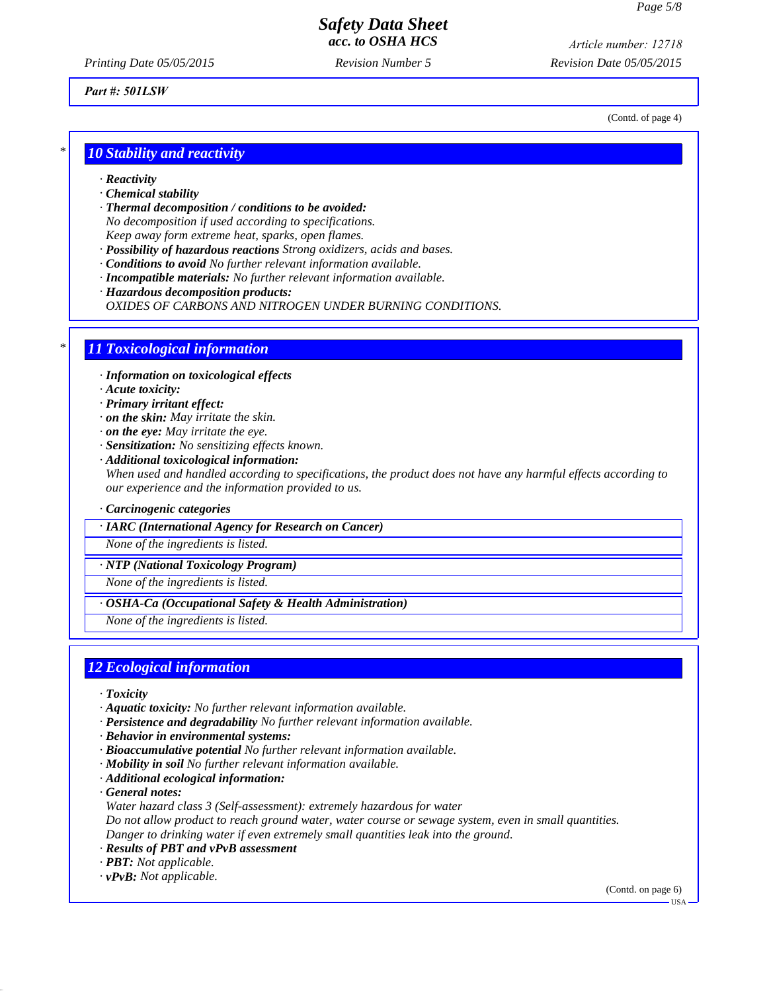*Printing Date 05/05/2015 Revision Number 5 Revision Date 05/05/2015 Article number: 12718*

### *Part #: 501LSW*

*\* 10 Stability and reactivity*

- *· Reactivity*
- *· Chemical stability*
- *· Thermal decomposition / conditions to be avoided:*
- *No decomposition if used according to specifications.*

*Keep away form extreme heat, sparks, open flames.*

- *· Possibility of hazardous reactions Strong oxidizers, acids and bases.*
- *· Conditions to avoid No further relevant information available.*
- *· Incompatible materials: No further relevant information available.*
- *· Hazardous decomposition products: OXIDES OF CARBONS AND NITROGEN UNDER BURNING CONDITIONS.*

## *\* 11 Toxicological information*

*· Information on toxicological effects*

- *· Acute toxicity:*
- *· Primary irritant effect:*
- *· on the skin: May irritate the skin.*
- *· on the eye: May irritate the eye.*
- *· Sensitization: No sensitizing effects known.*
- *· Additional toxicological information: When used and handled according to specifications, the product does not have any harmful effects according to our experience and the information provided to us.*

#### *· Carcinogenic categories*

*· IARC (International Agency for Research on Cancer)*

*None of the ingredients is listed.*

*· NTP (National Toxicology Program)*

*None of the ingredients is listed.*

*· OSHA-Ca (Occupational Safety & Health Administration)*

*None of the ingredients is listed.*

## *12 Ecological information*

- *· Toxicity*
- *· Aquatic toxicity: No further relevant information available.*
- *· Persistence and degradability No further relevant information available.*
- *· Behavior in environmental systems:*
- *· Bioaccumulative potential No further relevant information available.*
- *· Mobility in soil No further relevant information available.*
- *· Additional ecological information:*

*· General notes:*

*Water hazard class 3 (Self-assessment): extremely hazardous for water*

*Do not allow product to reach ground water, water course or sewage system, even in small quantities. Danger to drinking water if even extremely small quantities leak into the ground.*

- *· Results of PBT and vPvB assessment*
- *· PBT: Not applicable.*
- *· vPvB: Not applicable.*

(Contd. on page 6)

(Contd. of page 4)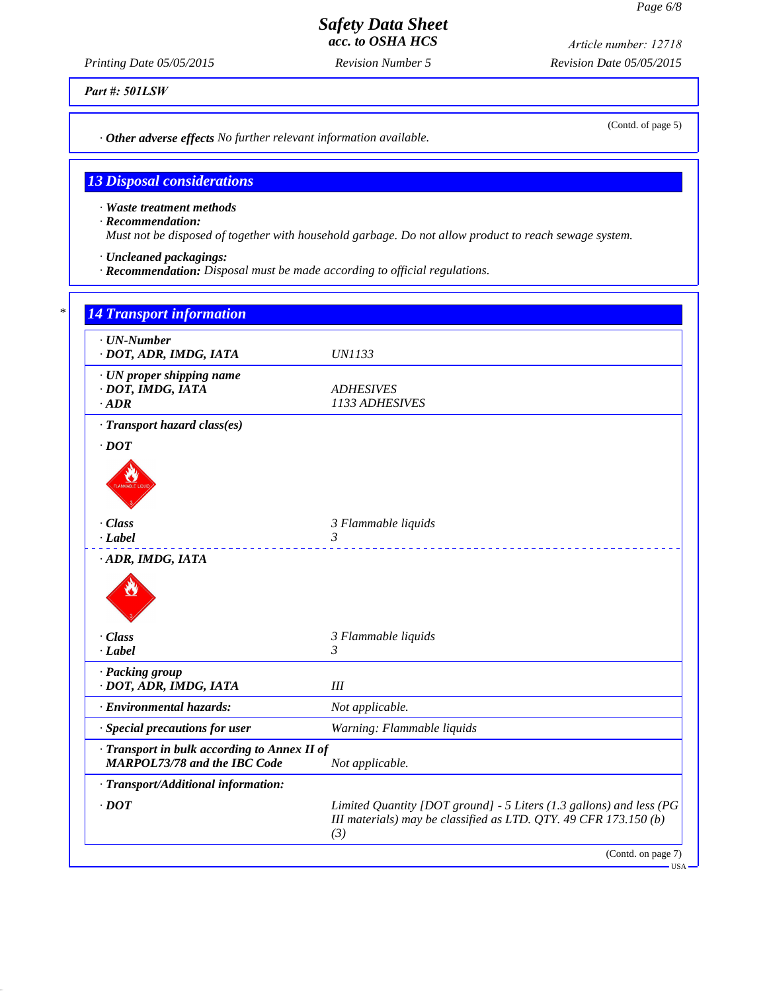*Printing Date 05/05/2015 Revision Number 5 Revision Date 05/05/2015 Article number: 12718*

*Part #: 501LSW*

*· Other adverse effects No further relevant information available.*

# *13 Disposal considerations*

*· Waste treatment methods*

*· Recommendation:*

*Must not be disposed of together with household garbage. Do not allow product to reach sewage system.*

*· Uncleaned packagings:*

*· Recommendation: Disposal must be made according to official regulations.*

| $\cdot$ UN-Number<br>· DOT, ADR, IMDG, IATA                                         | <i>UN1133</i>                                                       |
|-------------------------------------------------------------------------------------|---------------------------------------------------------------------|
| · UN proper shipping name<br>· DOT, IMDG, IATA<br>$\cdot$ ADR                       | <b>ADHESIVES</b><br>1133 ADHESIVES                                  |
| · Transport hazard class(es)                                                        |                                                                     |
| $\cdot$ DOT                                                                         |                                                                     |
| $\cdot$ Class<br>$-Label$                                                           | 3 Flammable liquids<br>3                                            |
|                                                                                     |                                                                     |
| · Class<br>$-Label$                                                                 | 3 Flammable liquids<br>3                                            |
| · Packing group<br>· DOT, ADR, IMDG, IATA                                           | III                                                                 |
| · Environmental hazards:                                                            | Not applicable.                                                     |
| · Special precautions for user                                                      | Warning: Flammable liquids                                          |
| · Transport in bulk according to Annex II of<br><b>MARPOL73/78 and the IBC Code</b> | Not applicable.                                                     |
| · Transport/Additional information:                                                 |                                                                     |
|                                                                                     | Limited Quantity [DOT ground] - 5 Liters (1.3 gallons) and less (PG |

(Contd. of page 5)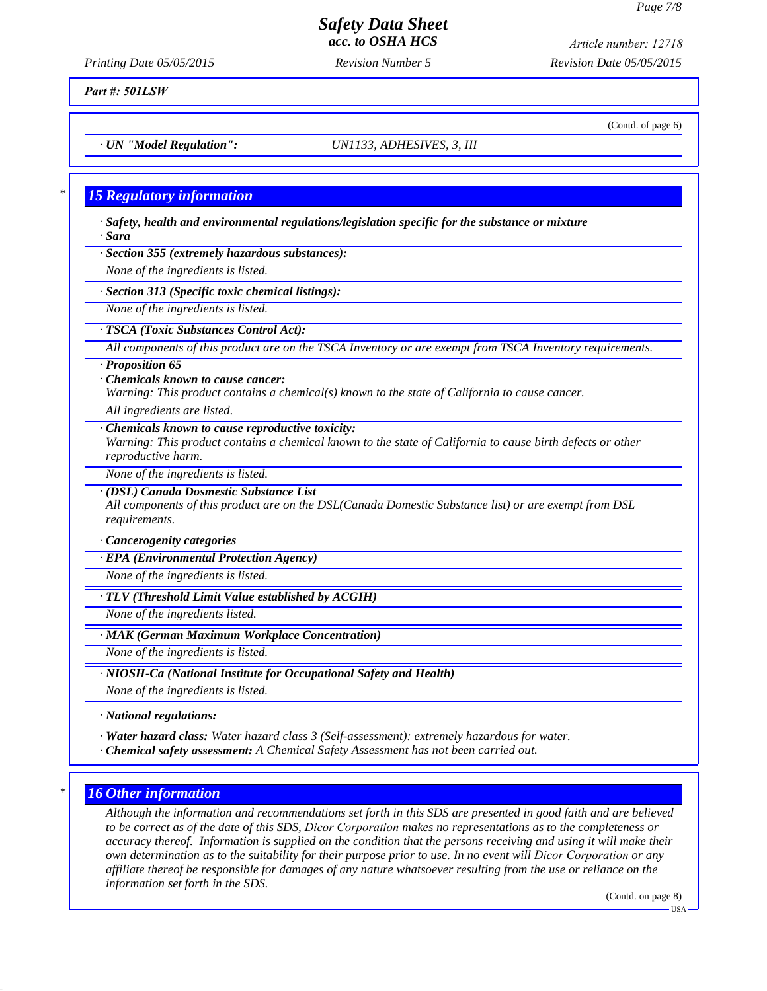(Contd. of page 6)

# *Safety Data Sheet acc. to OSHA HCS*

*Printing Date 05/05/2015 Revision Number 5 Revision Date 05/05/2015 Article number: 12718*

### *Part #: 501LSW*

*· UN "Model Regulation": UN1133, ADHESIVES, 3, III*

## *\* 15 Regulatory information*

*· Safety, health and environmental regulations/legislation specific for the substance or mixture · Sara*

*· Section 355 (extremely hazardous substances):*

*None of the ingredients is listed.*

*· Section 313 (Specific toxic chemical listings):*

*None of the ingredients is listed.*

*· TSCA (Toxic Substances Control Act):*

*All components of this product are on the TSCA Inventory or are exempt from TSCA Inventory requirements.*

*· Proposition 65*

*· Chemicals known to cause cancer: Warning: This product contains a chemical(s) known to the state of California to cause cancer.*

*All ingredients are listed.*

#### *· Chemicals known to cause reproductive toxicity:*

*Warning: This product contains a chemical known to the state of California to cause birth defects or other reproductive harm.*

*None of the ingredients is listed.*

*· (DSL) Canada Dosmestic Substance List*

*All components of this product are on the DSL(Canada Domestic Substance list) or are exempt from DSL requirements.*

*· Cancerogenity categories*

*· EPA (Environmental Protection Agency)*

*None of the ingredients is listed.*

*· TLV (Threshold Limit Value established by ACGIH)*

*None of the ingredients listed.*

*· MAK (German Maximum Workplace Concentration)*

*None of the ingredients is listed.*

*· NIOSH-Ca (National Institute for Occupational Safety and Health)*

*None of the ingredients is listed.*

*· National regulations:*

*· Water hazard class: Water hazard class 3 (Self-assessment): extremely hazardous for water.*

*· Chemical safety assessment: A Chemical Safety Assessment has not been carried out.*

## *\* 16 Other information*

*Although the information and recommendations set forth in this SDS are presented in good faith and are believed to be correct as of the date of this SDS, Dicor Corporation makes no representations as to the completeness or accuracy thereof. Information is supplied on the condition that the persons receiving and using it will make their own determination as to the suitability for their purpose prior to use. In no event will Dicor Corporation or any affiliate thereof be responsible for damages of any nature whatsoever resulting from the use or reliance on the information set forth in the SDS.*

(Contd. on page 8)

USA